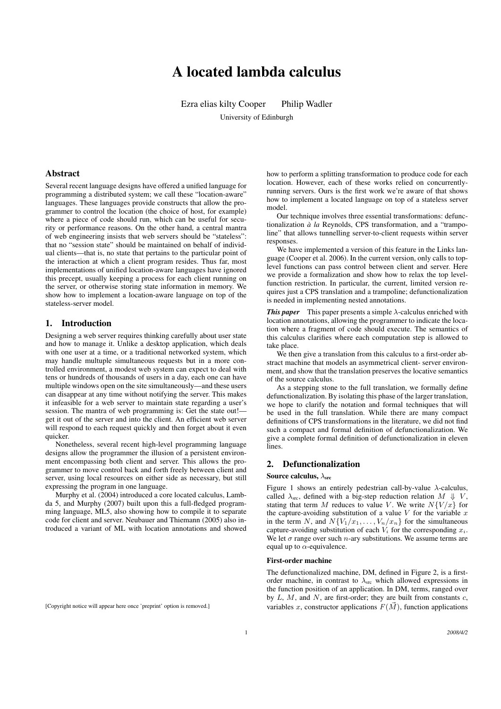# A located lambda calculus

Ezra elias kilty Cooper Philip Wadler University of Edinburgh

# Abstract

Several recent language designs have offered a unified language for programming a distributed system; we call these "location-aware" languages. These languages provide constructs that allow the programmer to control the location (the choice of host, for example) where a piece of code should run, which can be useful for security or performance reasons. On the other hand, a central mantra of web engineering insists that web servers should be "stateless": that no "session state" should be maintained on behalf of individual clients—that is, no state that pertains to the particular point of the interaction at which a client program resides. Thus far, most implementations of unified location-aware languages have ignored this precept, usually keeping a process for each client running on the server, or otherwise storing state information in memory. We show how to implement a location-aware language on top of the stateless-server model.

# 1. Introduction

Designing a web server requires thinking carefully about user state and how to manage it. Unlike a desktop application, which deals with one user at a time, or a traditional networked system, which may handle multuple simultaneous requests but in a more controlled environment, a modest web system can expect to deal with tens or hundreds of thousands of users in a day, each one can have multiple windows open on the site simultaneously—and these users can disappear at any time without notifying the server. This makes it infeasible for a web server to maintain state regarding a user's session. The mantra of web programming is: Get the state out! get it out of the server and into the client. An efficient web server will respond to each request quickly and then forget about it even quicker.

Nonetheless, several recent high-level programming language designs allow the programmer the illusion of a persistent environment encompassing both client and server. This allows the programmer to move control back and forth freely between client and server, using local resources on either side as necessary, but still expressing the program in one language.

Murphy et al. (2004) introduced a core located calculus, Lambda 5, and Murphy (2007) built upon this a full-fledged programming language, ML5, also showing how to compile it to separate code for client and server. Neubauer and Thiemann (2005) also introduced a variant of ML with location annotations and showed

how to perform a splitting transformation to produce code for each location. However, each of these works relied on concurrentlyrunning servers. Ours is the first work we're aware of that shows how to implement a located language on top of a stateless server model.

Our technique involves three essential transformations: defunctionalization  $\hat{a}$  *la* Reynolds, CPS transformation, and a "trampoline" that allows tunnelling server-to-client requests within server responses.

We have implemented a version of this feature in the Links language (Cooper et al. 2006). In the current version, only calls to toplevel functions can pass control between client and server. Here we provide a formalization and show how to relax the top levelfunction restriction. In particular, the current, limited version requires just a CPS translation and a trampoline; defunctionalization is needed in implementing nested annotations.

*This paper* This paper presents a simple λ-calculus enriched with location annotations, allowing the programmer to indicate the location where a fragment of code should execute. The semantics of this calculus clarifies where each computation step is allowed to take place.

We then give a translation from this calculus to a first-order abstract machine that models an asymmetrical client- server environment, and show that the translation preserves the locative semantics of the source calculus.

As a stepping stone to the full translation, we formally define defunctionalization. By isolating this phase of the larger translation, we hope to clarify the notation and formal techniques that will be used in the full translation. While there are many compact definitions of CPS transformations in the literature, we did not find such a compact and formal definition of defunctionalization. We give a complete formal definition of defunctionalization in eleven lines.

# 2. Defunctionalization

#### Source calculus,  $\lambda_{src}$

Figure 1 shows an entirely pedestrian call-by-value  $\lambda$ -calculus, called  $\lambda_{\text{src}}$ , defined with a big-step reduction relation  $M \Downarrow V$ , stating that term M reduces to value V. We write  $N\{V/x\}$  for the capture-avoiding substitution of a value V for the variable  $x$ in the term N, and  $N\{V_1/x_1,\ldots,V_n/x_n\}$  for the simultaneous capture-avoiding substitution of each  $V_i$  for the corresponding  $x_i$ . We let  $\sigma$  range over such *n*-ary substitutions. We assume terms are equal up to  $\alpha$ -equivalence.

# First-order machine

The defunctionalized machine, DM, defined in Figure 2, is a firstorder machine, in contrast to  $\lambda_{src}$  which allowed expressions in the function position of an application. In DM, terms, ranged over by  $L, M$ , and  $N$ , are first-order; they are built from constants  $c$ , variables x, constructor applications  $F(\vec{M})$ , function applications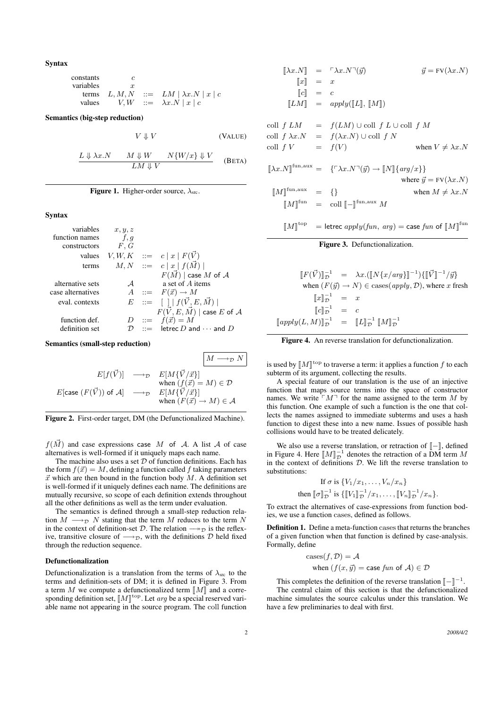Syntax

| constants | c         |     |                            |
|-----------|-----------|-----|----------------------------|
| variables | $x$       |     |                            |
| terms     | $L, M, N$ | ::= | $LM   \lambda x.N   x   c$ |
| values    | $V, W$    | ::= | $\lambda x.N   x   c$      |

Semantics (big-step reduction)

$$
V \Downarrow V \tag{VALUE}
$$

$$
\frac{L \Downarrow \lambda x. N \qquad M \Downarrow W \qquad N \{W/x\} \Downarrow V}{LM \Downarrow V} \qquad \text{(BETA)}
$$

Figure 1. Higher-order source,  $\lambda_{src}$ .

#### Syntax

variables  $x, y, z$ function names  $f, g$ <br>constructors  $F, G$ constructors values  $V, W, K$  ::=  $c |x| F(\vec{V})$ terms  $M, N$  ::=  $c |x| f(M)$  $F(\vec{M})$  | case M of A alternative sets  $A$  a set of A items case alternatives  $A ::= F(\vec{x}) \rightarrow M$ eval. contexts  $E := [ \ | \ | f(\vec{V}, E, \vec{M}) | ]$  $F(\vec{V}, E, \vec{M})$  | case E of A function def.  $D := \hat{f}(\vec{x}) = M$ <br>definition set  $D := \text{letrec } D$  and letrec  $D$  and  $\cdots$  and  $D$ 

Semantics (small-step reduction)

$$
E[f(\vec{V})] \longrightarrow_{\mathcal{D}} E[M\{\vec{V}/\vec{x}\}]
$$
  
\n
$$
E[\text{case } (F(\vec{V})) \text{ of } \mathcal{A}] \longrightarrow_{\mathcal{D}} E[M\{\vec{V}/\vec{x}\}]
$$
  
\n
$$
E[\text{case } (F(\vec{V})) \text{ of } \mathcal{A}] \longrightarrow_{\mathcal{D}} E[M\{\vec{V}/\vec{x}\}]
$$
  
\n
$$
\text{when } (F(\vec{x}) \to M) \in \mathcal{A}
$$



 $f(\vec{M})$  and case expressions case M of A. A list A of case alternatives is well-formed if it uniquely maps each name.

The machine also uses a set  $D$  of function definitions. Each has the form  $f(\vec{x}) = M$ , defining a function called f taking parameters  $\vec{x}$  which are then bound in the function body M. A definition set is well-formed if it uniquely defines each name. The definitions are mutually recursive, so scope of each definition extends throughout all the other definitions as well as the term under evaluation.

The semantics is defined through a small-step reduction relation  $M \longrightarrow_{\mathcal{D}} N$  stating that the term M reduces to the term N in the context of definition-set  $\mathcal D$ . The relation  $\longrightarrow_{\mathcal D}$  is the reflexive, transitive closure of  $\longrightarrow_{\mathcal{D}}$ , with the definitions D held fixed through the reduction sequence.

#### Defunctionalization

Defunctionalization is a translation from the terms of  $\lambda_{\rm src}$  to the terms and definition-sets of DM; it is defined in Figure 3. From a term M we compute a defunctionalized term  $\llbracket M \rrbracket$  and a corresponding definition set,  $[M]$ <sup>top</sup>. Let *arg* be a special reserved vari-<br>able name not appearing in the source program. The coll function able name not appearing in the source program. The coll function

$$
\begin{aligned}\n[\![\lambda x.N]\!] &= \ulcorner \lambda x.N \urcorner(\vec{y}) & \vec{y} = \mathrm{FV}(\lambda x.N) \\
[\![x]\!] &= x \\
[\![c]\!] &= c \\
[\![LM]\!] &= \operatorname{apply}([\![L]\!], [\![M]\!]) \\
\text{coll } f \ LM &= f(LM) \cup \text{coll } f \ L \cup \text{coll } f \ M \\
\text{coll } f \ \lambda x.N &= f(\lambda x.N) \cup \text{coll } f \ N \\
\text{coll } f \ V &= f(V) & \text{when } V \neq \lambda x.N \\
[\![\lambda x.N]^{\text{fun}, \text{aux}} &= \{\ulcorner \lambda x.N \urcorner(\vec{y}) \rightarrow [\![N]\!], \{\operatorname{arg}/x\}\} & \\
\text{where } \vec{y} = \mathrm{FV}(\lambda x.N) \\
[\![M]\!]^{\text{fun}, \text{aux}} &= \{\} & \text{when } M \neq \lambda x.N \\
[\![M]\!]^{\text{fun}} &= \text{coll } [\![-]\!]^{\text{fun}, \text{aux}} M\n\end{aligned}
$$

$$
[\![M]\!]^{\text{top}} = \text{letrec } apply(fun, arg) = \text{case } fun \text{ of } [\![M]\!]^{\text{fun}}
$$

# Figure 3. Defunctionalization.

$$
\begin{aligned}\n\llbracket F(\vec{V}) \rrbracket_{\mathcal{D}}^{-1} &= \lambda x. (\llbracket N\{x/arg\} \rrbracket^{-1}) \{ \llbracket \vec{V} \rrbracket^{-1} / \vec{y} \} \\
\text{when } (F(\vec{y}) \to N) \in \text{cases}(apply, \mathcal{D}), \text{ where } x \text{ fresh} \\
\llbracket x \rrbracket_{\mathcal{D}}^{-1} &= x \\
\llbracket c \rrbracket_{\mathcal{D}}^{-1} &= c \\
\llbracket apply(L, M) \rrbracket_{\mathcal{D}}^{-1} &= \llbracket L \rrbracket_{\mathcal{D}}^{-1} \llbracket M \rrbracket_{\mathcal{D}}^{-1}\n\end{aligned}
$$



is used by  $[M]^{\text{top}}$  to traverse a term: it applies a function f to each subterm of its argument, collecting the results subterm of its argument, collecting the results.

A special feature of our translation is the use of an injective function that maps source terms into the space of constructor names. We write  $\lceil M \rceil$  for the name assigned to the term M by this function. One example of such a function is the one that collects the names assigned to immediate subterms and uses a hash function to digest these into a new name. Issues of possible hash collisions would have to be treated delicately.

We also use a reverse translation, or retraction of [-], defined in Figure 4. Here  $[M]_{\mathcal{D}}^{-1}$  denotes the retraction of a DM term M<br>in the context of definitions D. We lift the reverse translation to in the context of definitions  $D$ . We lift the reverse translation to substitutions:

If 
$$
\sigma
$$
 is  $\{V_1/x_1, ..., V_n/x_n\}$   
then  $[\![\sigma]\!]_{\mathcal{D}}^{-1}$  is  $\{[\![V_1]\!]_{\mathcal{D}}^{-1}/x_1, ..., [\![V_n]\!]_{\mathcal{D}}^{-1}/x_n\}.$ 

To extract the alternatives of case-expressions from function bodies, we use a function cases, defined as follows.

Definition 1. Define a meta-function cases that returns the branches of a given function when that function is defined by case-analysis. Formally, define

cases
$$
cases(f, D) = A
$$
  
when  $(f(x, \vec{y}) = \text{case } \text{fun of } A) \in D$ 

This completes the definition of the reverse translation  $\llbracket - \rrbracket^{-1}$ .<br>The central claim of this section is that the definitionalize The central claim of this section is that the defunctionalized machine simulates the source calculus under this translation. We have a few preliminaries to deal with first.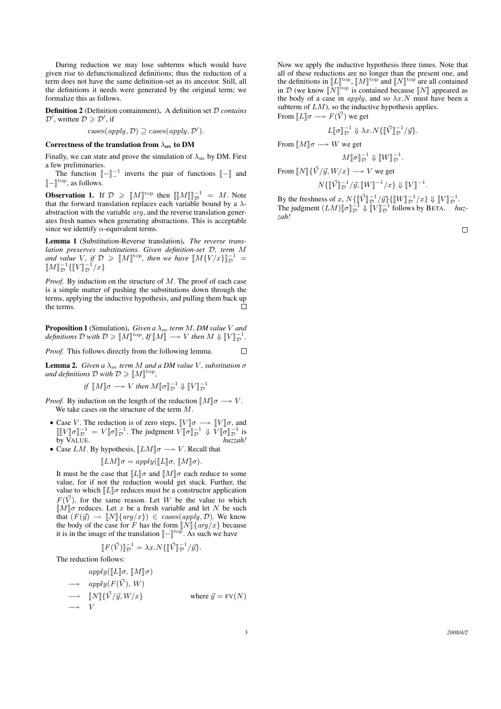During reduction we may lose subterms which would have given rise to defunctionalized definitions; thus the reduction of a term does not have the same definition-set as its ancestor. Still, all the definitions it needs were generated by the original term; we formalize this as follows.

Definition 2 (Definition containment). A definition set D *contains*  $\mathcal{D}'$ , written  $\mathcal{D} \geq \mathcal{D}'$ , if

cases
$$
(apply, \mathcal{D}) \supseteq \text{cases}(apply, \mathcal{D}').
$$

#### Correctness of the translation from  $\lambda_{src}$  to DM

Finally, we can state and prove the simulation of  $\lambda_{\rm src}$  by DM. First a few preliminaries.

The function  $\llbracket - \rrbracket^{-1}$  inverts the pair of functions  $\llbracket - \rrbracket$  and  $\llbracket$  $\llbracket - \rrbracket^{\text{top}},$  as follows.

**Observation 1.** If  $\mathcal{D} \geq \llbracket M \rrbracket^{\text{top}}$  then  $\llbracket \llbracket M \rrbracket^{\text{top}}_{\mathcal{D}} = M$ . Note that the forward translation replaces each variable bound by a  $\lambda$ abstraction with the variable arg, and the reverse translation generates fresh names when generating abstractions. This is acceptable since we identify  $\alpha$ -equivalent terms.

Lemma 1 (Substitution-Reverse translation). *The reverse translation preserves substitutions. Given definition-set* D*, term* M and value *V*, if  $\mathcal{D} \geq \llbracket M \rrbracket^{\text{top}}$ , then we have  $\llbracket M \{V/x\} \rrbracket_{\mathcal{D}}^{-1} = \llbracket M \rrbracket^{-1} \llbracket \mathcal{N} \rrbracket^{-1}$  $\llbracket M \rrbracket_{\mathcal{D}}^{-1} \{ \llbracket V \rrbracket_{\mathcal{D}}^{-1} / x \}$ 

*Proof.* By induction on the structure of M. The proof of each case is a simple matter of pushing the substitutions down through the terms, applying the inductive hypothesis, and pulling them back up the terms.  $\Box$ 

**Proposition 1** (Simulation). *Given a*  $\lambda_{src}$  *term M*, *DM value V and definitions*  $D$  *with*  $D \geq \llbracket M \rrbracket^{\text{top}},$  *If*  $\llbracket M \rrbracket \longrightarrow V$  *then*  $M \Downarrow \llbracket V \rrbracket_D^{-1}$ .

*Proof.* This follows directly from the following lemma. П

Lemma 2. *Given a* λ*src term* M *and a DM value* V *, substitution* σ and definitions  $D$  with  $D \geqslant [M]^{top}$ ,

*if*  $[M]\sigma \longrightarrow V$  *then*  $M[\![\sigma]\!]_{\mathcal{D}}^{-1} \Downarrow [V]\!]_{\mathcal{D}}^{-1}$ 

*Proof.* By induction on the length of the reduction  $\llbracket M \rrbracket \sigma \longrightarrow V$ . We take cases on the structure of the term M.

- Case V. The reduction is of zero steps,  $\llbracket V \rrbracket \sigma \longrightarrow \llbracket V \rrbracket \sigma$ , and  $\llbracket W \rrbracket \sigma \top^{-1} = V \llbracket \sigma \rrbracket^{-1}$ . The judgment  $V \llbracket \sigma \rrbracket^{-1} \parallel V \llbracket \sigma \rrbracket^{-1}$  is  $\llbracket \llbracket V \rrbracket \sigma \rrbracket_D^{-1} = V \llbracket \sigma \rrbracket_D^{-1}$ . The judgment  $V \llbracket \sigma \rrbracket_D^{-1} \Downarrow V \llbracket \sigma \rrbracket_D^{-1}$  is<br>by VALUE by VALUE. *huzzah!*
- Case  $LM$ . By hypothesis,  $\llbracket LM \rrbracket \sigma \longrightarrow V$ . Recall that

$$
[\![LM]\!] \sigma = apply([\![L]\!] \sigma, [\![M]\!] \sigma).
$$

It must be the case that  $[[L]]\sigma$  and  $[[M]]\sigma$  each reduce to some value for if not the reduction would get stuck. Further, the value, for if not the reduction would get stuck. Further, the value to which  $[[L]]\sigma$  reduces must be a constructor application  $F(\vec{V})$ , for the same reason. Let W be the value to which  $\llbracket M \rrbracket \sigma$  reduces. Let x be a fresh variable and let N be such that  $(F(\vec{y}) \rightarrow \llbracket N \rrbracket \{ arg/x \}) \in \text{cases}(apply, \mathcal{D})$ . We know the body of the case for F has the form  $\llbracket N \rrbracket \{arg/x\}$  because<br>it is in the image of the translation  $\llbracket - \rrbracket$ <sup>top</sup> As such we have it is in the image of the translation  $\llbracket - \rrbracket^{\text{top}}$ . As such we have

$$
[[F(\vec{V})]]_{\mathcal{D}}^{-1} = \lambda x . N \{ [[\vec{V}]]_{\mathcal{D}}^{-1} / \vec{y} \}.
$$

The reduction follows:

$$
apply([[L]\sigma, [M]\sigma)
$$
  
\n
$$
\longrightarrow \quad apply(F(\vec{V}), W)
$$
  
\n
$$
\longrightarrow \quad [N] \{ \vec{V} / \vec{y}, W / x \}
$$
  
\n
$$
\longrightarrow \quad V
$$
  
\nwhere  $\vec{y} = FV(N)$ 

Now we apply the inductive hypothesis three times. Note that all of these reductions are no longer than the present one, and the definitions in  $\llbracket L \rrbracket^{\text{top}}$ ,  $\llbracket M \rrbracket^{\text{top}}$  and  $\llbracket N \rrbracket^{\text{top}}$  are all contained<br>in  $\mathcal{D}$  (we know  $\llbracket N \rrbracket^{\text{top}}$  is contained because  $\llbracket N \rrbracket$  appeared as in D (we know  $\llbracket N \rrbracket^{\text{top}}$  is contained because  $\llbracket N \rrbracket$  appeared as the body of a case in *apply* and so  $\lambda x$  N must have been a the body of a case in *apply*, and so  $\lambda x. N$  must have been a subterm of  $LM$ ), so the inductive hypothesis applies. From  $\llbracket L \rrbracket \sigma \longrightarrow F(\vec{V})$  we get

$$
L[\![\sigma]\!]_{\mathcal{D}}^{-1} \Downarrow \lambda x. N\{\llbracket \vec{V} \rrbracket_{\mathcal{D}}^{-1} / \vec{y}\}.
$$

From  $\llbracket M \rrbracket \sigma \longrightarrow W$  we get

$$
M[\![\sigma]\!]_{\mathcal{D}}^{-1}\Downarrow [[\![W]\!]_{\mathcal{D}}^{-1}.
$$

From  $\llbracket N \rrbracket \{ \vec{V} / \vec{y}, W / x \} \longrightarrow V$  we get

$$
N\{\llbracket \vec{V} \rrbracket^{-1}/\vec{y}, \llbracket W \rrbracket^{-1}/x\} \Downarrow \llbracket V \rrbracket^{-1}.
$$

By the freshness of x,  $N\{\llbracket \vec{V} \rrbracket^{-1}/\vec{y}\}\{ \llbracket W \rrbracket^{-1}/x\} \Downarrow \llbracket V \rrbracket^{-1}^{-1}$ <br>The independent  $(LM)\llbracket \pi^{-1} \rrbracket^{-1}$  is  $\llbracket W \rrbracket^{-1}$  follows by BETA The judgment  $(LM)[\![\sigma]\!]_{\mathcal{D}}^{-1} \Downarrow [\![V]\!]_{\mathcal{D}}^{-1}$  follows by BETA. *huz-*<br>zab! *zah!*

 $\Box$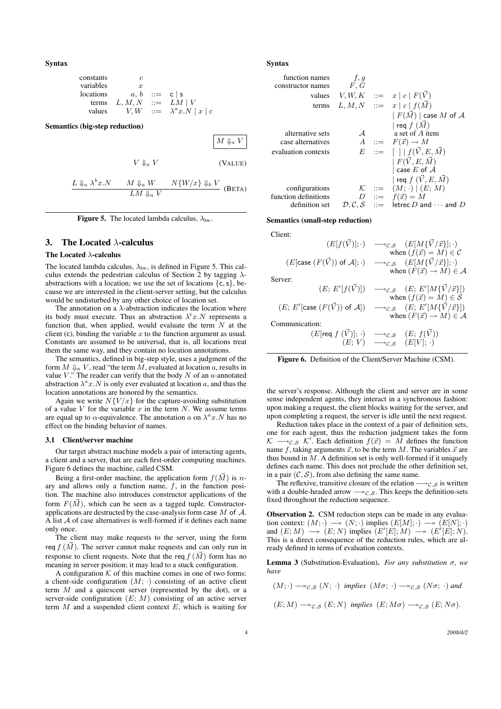Syntax

| constants | c                                          |
|-----------|--------------------------------------------|
| variables | $x$                                        |
| locations | $a, b$ ::= $c \mid s$                      |
| terms     | $L, M, N$ ::= $LM \mid V$                  |
| values    | $V, W$ ::= $\lambda^a x . N \mid x \mid c$ |

Semantics (big-step reduction)

 $M \Downarrow_a V$  $V \Downarrow_a V$  (VALUE)  $L \Downarrow_a \lambda^b x.N$   $M \Downarrow_a W$   $N\{W/x\} \Downarrow_b V$ 

 $LM \Downarrow_a V$  (BETA)

**Figure 5.** The located lambda calculus,  $\lambda_{loc}$ .

# 3. The Located  $\lambda$ -calculus

#### The Located λ-calculus

The located lambda calculus,  $\lambda_{\text{loc}}$ , is defined in Figure 5. This calculus extends the pedestrian calculus of Section 2 by tagging  $\lambda$ abstractions with a location; we use the set of locations  $\{c, s\}$ , because we are interested in the client-server setting, but the calculus would be undisturbed by any other choice of location set.

The annotation on a  $\lambda$ -abstraction indicates the location where its body must execute. Thus an abstraction  $\lambda^c x$ . N represents a function that, when applied, would evaluate the term  $N$  at the client (c), binding the variable  $x$  to the function argument as usual. Constants are assumed to be universal, that is, all locations treat them the same way, and they contain no location annotations.

The semantics, defined in big-step style, uses a judgment of the form  $M \Downarrow_a V$ , read "the term  $M$ , evaluated at location a, results in value  $V$ ." The reader can verify that the body  $N$  of an  $a$ -annotated abstraction  $\lambda^a x . N$  is only ever evaluated at location a, and thus the location annotations are honored by the semantics.

Again we write  $N\{V/x\}$  for the capture-avoiding substitution of a value  $V$  for the variable  $x$  in the term  $N$ . We assume terms are equal up to  $\alpha$ -equivalence. The annotation  $\alpha$  on  $\lambda^a x . N$  has no effect on the binding behavior of names.

#### 3.1 Client/server machine

Our target abstract machine models a pair of interacting agents, a client and a server, that are each first-order computing machines. Figure 6 defines the machine, called CSM.

Being a first-order machine, the application form  $f(\vec{M})$  is nary and allows only a function name,  $f$ , in the function position. The machine also introduces constructor applications of the form  $F(\vec{M})$ , which can be seen as a tagged tuple. Constructorapplications are destructed by the case-analysis form case  $M$  of  $A$ . A list A of case alternatives is well-formed if it defines each name only once.

The client may make requests to the server, using the form req  $f(\vec{M})$ . The server cannot make requests and can only run in response to client requests. Note that the req  $f(\vec{M})$  form has no meaning in server position; it may lead to a stuck configuration.

A configuration  $K$  of this machine comes in one of two forms: a client-side configuration  $(M; \cdot)$  consisting of an active client term  $M$  and a quiescent server (represented by the dot), or a server-side configuration  $(E; M)$  consisting of an active server term  $M$  and a suspended client context  $E$ , which is waiting for

#### Syntax

| function names       | f, g          |                   |                                                                         |
|----------------------|---------------|-------------------|-------------------------------------------------------------------------|
| constructor names    | F, G          |                   |                                                                         |
| values               |               |                   | $V, W, K \quad ::= \quad x \mid c \mid F(V)$                            |
| terms                |               |                   | $L, M, N \quad ::= \quad x \mid c \mid f(\vec{M})$                      |
|                      |               |                   | $ F(\vec{M}) $ case M of A                                              |
|                      |               |                   | req $f(\vec{M})$                                                        |
| alternative sets     | $\mathcal{A}$ |                   | a set of A item                                                         |
| case alternatives    |               |                   | $A$ ::= $F(\vec{x}) \rightarrow M$                                      |
| evaluation contexts  |               |                   | $E$ := $\left[\right]   f(\vec{V}, E, \vec{M})$                         |
|                      |               |                   | $ F(\vec{V},E,\vec{M}) $                                                |
|                      |               |                   | case $E$ of $A$                                                         |
|                      |               |                   | req $f(\vec{V}, E, \vec{M})$                                            |
| configurations       |               | $\mathcal{K}$ ::= | $(M; \cdot) \mid (E; M)$                                                |
| function definitions |               |                   | $D \quad ::= \quad f(\vec{x}) = M$                                      |
| definition set       |               |                   | $\mathcal{D}, \mathcal{C}, \mathcal{S}$ ::= letrec D and $\cdots$ and D |

#### Semantics (small-step reduction)

Client:

$$
(E[f(\vec{V})];\cdot) \longrightarrow_{\mathcal{C},\mathcal{S}} (E[M\{\vec{V}/\vec{x}\}];\cdot)
$$
  
when  $(f(\vec{x}) = M) \in \mathcal{C}$   
 $(E[\text{case } (F(\vec{V})) \text{ of } \mathcal{A}];\cdot) \longrightarrow_{\mathcal{C},\mathcal{S}} (E[M\{\vec{V}/\vec{x}\}];\cdot)$   
when  $(F(\vec{x}) \to M) \in \mathcal{A}$ 

Server:

$$
(E; E'[f(\vec{V})]) \longrightarrow_{\mathcal{C}, \mathcal{S}} (E; E'[M\{\vec{V}/\vec{x}\}])
$$
  
\nwhen  $(f(\vec{x}) = M) \in \mathcal{S}$   
\n $(E; E'[\text{case } (F(\vec{V})) \text{ of } \mathcal{A}]) \longrightarrow_{\mathcal{C}, \mathcal{S}} (E; E'[M\{\vec{V}/\vec{x}\}])$   
\n $\text{subm}(F(\vec{x}) \rightarrow M) \in \mathcal{A}$   
\n $(E[\text{req } f(\vec{V})]; \cdot) \longrightarrow_{\mathcal{C}, \mathcal{S}} (E; f(\vec{V}))$ 

Co

 $(E; V) \longrightarrow_{\mathcal{C},\mathcal{S}} (E[V]; \cdot)$ 

Figure 6. Definition of the Client/Server Machine (CSM).

the server's response. Although the client and server are in some sense independent agents, they interact in a synchronous fashion: upon making a request, the client blocks waiting for the server, and upon completing a request, the server is idle until the next request.

Reduction takes place in the context of a pair of definition sets, one for each agent, thus the reduction judgment takes the form  $\mathcal{K} \longrightarrow_{\mathcal{C},\mathcal{S}} \mathcal{K}'$ . Each definition  $f(\vec{x}) = \vec{M}$  defines the function name  $f$ , taking arguments  $\vec{x}$ , to be the term  $M$ . The variables  $\vec{x}$  are thus bound in  $M$ . A definition set is only well-formed if it uniquely defines each name. This does not preclude the other definition set, in a pair  $(C, S)$ , from also defining the same name.

The reflexive, transitive closure of the relation  $\rightarrow c,s$  is written with a double-headed arrow  $\rightarrow c.s$ . This keeps the definition-sets fixed throughout the reduction sequence.

Observation 2. CSM reduction steps can be made in any evaluation context:  $(M; \cdot) \longrightarrow (N; \cdot)$  implies  $(E[M]; \cdot) \longrightarrow (E[N]; \cdot)$ and  $(E; M) \longrightarrow (E; N)$  implies  $(E'[E]; M) \longrightarrow (E'[E]; N)$ . This is a direct consequence of the reduction rules, which are already defined in terms of evaluation contexts.

Lemma 3 (Substitution-Evaluation). *For any substitution* σ*, we have*

$$
(M;\cdot)\longrightarrow_{\mathcal{C},\mathcal{S}}(N;\,\cdot)\;\;\textit{implies}\;\;(M\sigma;\,\cdot)\longrightarrow_{\mathcal{C},\mathcal{S}}(N\sigma;\,\cdot)\;\textit{and}
$$

 $(E; M) \longrightarrow_{\mathcal{C},\mathcal{S}} (E; N)$  *implies*  $(E; M\sigma) \longrightarrow_{\mathcal{C},\mathcal{S}} (E; N\sigma)$ .

4 *2008/4/2*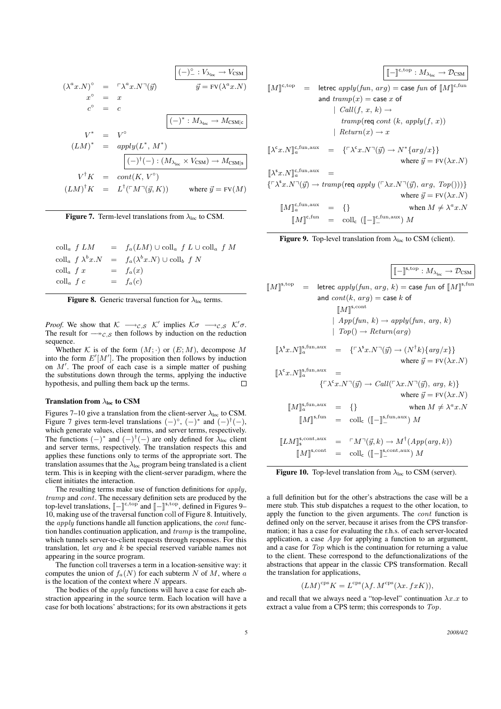$$
(\lambda^{a}x.N)^{\circ} = \ulcorner \lambda^{a}x.N\urcorner(\vec{y})
$$
\n
$$
x^{\circ} = x
$$
\n
$$
c^{\circ} = c
$$
\n
$$
\boxed{(-)^{*} : M_{\lambda_{\text{loc}}} \to V_{\text{CSM}}}
$$
\n
$$
V^{*} = V^{\circ}
$$
\n
$$
(LM)^{*} = apply(L^{*}, M^{*})
$$
\n
$$
\boxed{(-)^{*} : M_{\lambda_{\text{loc}}} \to M_{\text{CSM}}|_{\text{c}}}
$$
\n
$$
V^{\dagger}K = apply(L^{*}, M^{*})
$$
\n
$$
\boxed{(-)^{\dagger}(-) : (M_{\lambda_{\text{loc}}} \times V_{\text{CSM}}) \to M_{\text{CSM}}|_{\text{s}}}
$$
\n
$$
V^{\dagger}K = cont(K, V^{\circ})
$$
\n
$$
(LM)^{\dagger}K = L^{\dagger}(\ulcorner M\urcorner(\vec{y}, K)) \quad \text{where } \vec{y} = \text{FV}(M)
$$

Figure 7. Term-level translations from  $\lambda_{\text{loc}}$  to CSM.

|                             | $\operatorname{coll}_a f LM = f_a(LM) \cup \operatorname{coll}_a f L \cup \operatorname{coll}_a f M$ |
|-----------------------------|------------------------------------------------------------------------------------------------------|
|                             | $\operatorname{coll}_a f \lambda^b x.N = f_a(\lambda^b x.N) \cup \operatorname{coll}_b f N$          |
| $\operatorname{coll}_a f x$ | $= f_a(x)$                                                                                           |
| $\operatorname{coll}_a$ f c | $= f_a(c)$                                                                                           |

**Figure 8.** Generic traversal function for  $\lambda_{\text{loc}}$  terms.

*Proof.* We show that  $K \longrightarrow_{\mathcal{C},\mathcal{S}} \mathcal{K}'$  implies  $K\sigma \longrightarrow_{\mathcal{C},\mathcal{S}} \mathcal{K}'\sigma$ . The result for  $\rightarrow c,s$  then follows by induction on the reduction sequence.

Whether K is of the form  $(M; \cdot)$  or  $(E; M)$ , decompose M into the form  $E'[M']$ . The proposition then follows by induction on  $M'$ . The proof of each case is a simple matter of pushing the substitutions down through the terms, applying the inductive hypothesis, and pulling them back up the terms.  $\Box$ 

#### Translation from  $\lambda_{\text{loc}}$  to CSM

Figures 7–10 give a translation from the client-server  $\lambda_{loc}$  to CSM. Figure 7 gives term-level translations  $(-)^{\circ}$ ,  $(-)^{*}$  and  $(-)^{\dagger}(-)$ , which generate values, client terms, and server terms, respectively. The functions  $(-)^*$  and  $(-)^{\dagger}(-)$  are only defined for  $\lambda_{\text{loc}}$  client and server terms, respectively. The translation respects this and applies these functions only to terms of the appropriate sort. The translation assumes that the  $\lambda_{\text{loc}}$  program being translated is a client term. This is in keeping with the client-server paradigm, where the client initiates the interaction.

The resulting terms make use of function definitions for  $apply$ , tramp and cont. The necessary definition sets are produced by the top-level translations,  $\llbracket - \rrbracket^{\text{c,top}}$  and  $\llbracket - \rrbracket^{\text{s,top}}$ , defined in Figures 9–<br>10. making use of the traversal function coll of Figure 8. Intuitively 10, making use of the traversal function coll of Figure 8. Intuitively, the  $apply$  functions handle all function applications, the *cont* function handles continuation application, and tramp is the trampoline, which tunnels server-to-client requests through responses. For this translation, let arg and k be special reserved variable names not appearing in the source program.

The function coll traverses a term in a location-sensitive way: it computes the union of  $f_a(N)$  for each subterm N of M, where a is the location of the context where  $N$  appears.

The bodies of the *apply* functions will have a case for each abstraction appearing in the source term. Each location will have a case for both locations' abstractions; for its own abstractions it gets

$$
\llbracket M \rrbracket^{\text{c,top}} = \text{letrec } apply(fun, arg) = \text{case } fun \text{ of } \llbracket M \rrbracket^{\text{c,top}} \\
 \text{and } \text{tramp}(x) = \text{case } x \text{ of } \llbracket M \rrbracket^{\text{c,fun}} \\
 \text{and } \text{tramp}(x) = \text{case } x \text{ of } \llbracket M \rrbracket^{\text{c,fun}} \\
 \text{tall}(f, x, k) \rightarrow \\
 \text{tramp}(\text{req } cont (k, apply(f, x)) \\
 \text{Returm}(x) \rightarrow x \\
 \llbracket \lambda^{\text{c}} x.N \rrbracket^{\text{c,fun,aux}}_a = \{\ulcorner \lambda^{\text{c}} x.N \urcorner(\vec{y}) \rightarrow N^* \{\text{arg}/x\} \} \\
 \text{where } \vec{y} = \text{FV}(\lambda x.N) \\
 \llbracket \lambda^{\text{s}} x.N \rrbracket^{\text{c,fin}, \text{aux}}_a = \\
 \{\ulcorner \lambda^{\text{s}} x.N \urcorner(\vec{y}) \rightarrow \text{tramp}(\text{req } apply (\ulcorner \lambda x.N \urcorner(\vec{y}), arg, Top()))\} \\
 \text{where } \vec{y} = \text{FV}(\lambda x.N) \\
 \llbracket M \rrbracket^{\text{c,fin}, \text{aux}}_a = \{\} \\
 \text{when } M \neq \lambda^a x.N \\
 \llbracket M \rrbracket^{\text{c,fin}}_a = \text{ coll}_{\text{c}} (\llbracket - \rrbracket^{\text{c,fin}, \text{aux}}_a) M
$$



$$
\llbracket M \rrbracket^{\text{s,top}} = \text{letrec } apply(fun, arg, k) = \text{case } fun \text{ of } \llbracket M \rrbracket^{\text{s,top}}.
$$
\n
$$
\text{and } cont(k, arg) = \text{case } k \text{ of}
$$
\n
$$
\llbracket M \rrbracket^{\text{s,cont}}
$$
\n
$$
\parallel App(fun, k) \to apply(fun, arg, k)
$$
\n
$$
\parallel Top() \to Return(arg)
$$
\n
$$
\llbracket \lambda^{\text{s}} x.N \rrbracket^{\text{s,fin}, \text{aux}}_a = \{\ulcorner \lambda^{\text{s}} x.N \urcorner(\vec{y}) \to (N^{\dagger}k) \{ arg/x \} \}
$$
\n
$$
\text{where } \vec{y} = \text{FV}(\lambda x.N)
$$
\n
$$
\llbracket \lambda^{\text{c}} x.N \rrbracket^{\text{s,fin}, \text{aux}}_a = \{\ulcorner \lambda^{\text{s}} x.N \urcorner(\vec{y}) \to Call(\ulcorner \lambda x.N \urcorner(\vec{y}), arg, k) \} \text{where } \vec{y} = \text{FV}(\lambda x.N)
$$
\n
$$
\llbracket M \rrbracket^{\text{s,fin}, \text{aux}}_a = \{\} \text{when } M \neq \lambda^a x.N
$$
\n
$$
\llbracket M \rrbracket^{\text{s,fin}, \text{aux}}_s = \text{coll}_{\text{c}} (\llbracket - \rrbracket^{\text{s,fin}, \text{aux}}_s) M
$$
\n
$$
\llbracket LM \rrbracket^{\text{s,cont}, \text{aux}}_s = \ulcorner M \urcorner(\vec{y}, k) \to M^{\dagger}(App(arg, k))
$$
\n
$$
\llbracket M \rrbracket^{\text{s,cont}, \text{aux}}_s = \ulcorner \text{GN} \urcorner(\vec{y}, k) \to M^{\dagger}(App(arg, k))
$$
\n
$$
\llbracket M \rrbracket^{\text{s,cont}, \text{aux}}_s = \text{coll}_{\text{c}} (\llbracket - \rrbracket^{\text{s,cont}, \text{aux}}_s) M
$$

**Figure 10.** Top-level translation from  $\lambda_{\text{loc}}$  to CSM (server).

a full definition but for the other's abstractions the case will be a mere stub. This stub dispatches a request to the other location, to apply the function to the given arguments. The *cont* function is defined only on the server, because it arises from the CPS transformation; it has a case for evaluating the r.h.s. of each server-located application, a case  $App$  for applying a function to an argument, and a case for Top which is the continuation for returning a value to the client. These correspond to the defunctionalizations of the abstractions that appear in the classic CPS transformation. Recall the translation for applications,

$$
(LM)^{\text{cps}}K = L^{\text{cps}}(\lambda f. M^{\text{cps}}(\lambda x. fxK)),
$$

and recall that we always need a "top-level" continuation  $\lambda x.x$  to extract a value from a CPS term; this corresponds to Top.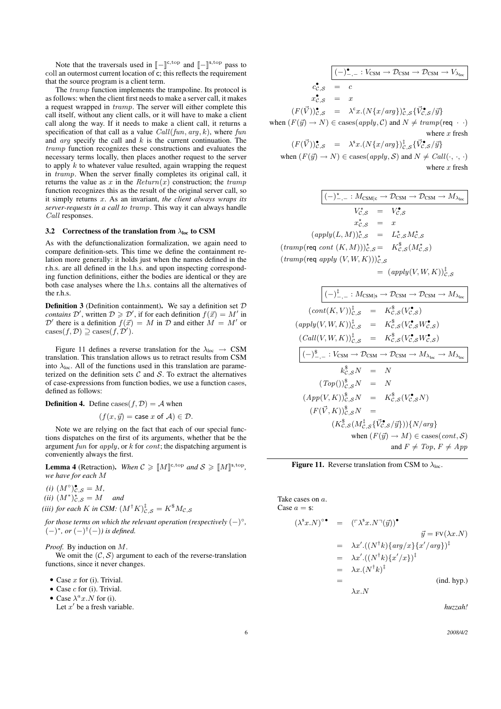Note that the traversals used in  $\llbracket - \rrbracket^{\text{c, top}}$  and  $\llbracket - \rrbracket^{\text{s, top}}$  pass to lan outermost current location of  $\epsilon$ ; this reflects the requirement coll an outermost current location of c; this reflects the requirement that the source program is a client term.

The tramp function implements the trampoline. Its protocol is as follows: when the client first needs to make a server call, it makes a request wrapped in tramp. The server will either complete this call itself, without any client calls, or it will have to make a client call along the way. If it needs to make a client call, it returns a specification of that call as a value  $Call(fun, arg, k)$ , where fun and  $arg$  specify the call and  $k$  is the current continuation. The tramp function recognizes these constructions and evaluates the necessary terms locally, then places another request to the server to apply  $k$  to whatever value resulted, again wrapping the request in tramp. When the server finally completes its original call, it returns the value as x in the  $Return(x)$  construction; the tramp function recognizes this as the result of the original server call, so it simply returns x. As an invariant, *the client always wraps its server-requests in a call to* tramp. This way it can always handle Call responses.

#### 3.2 Correctness of the translation from  $\lambda_{loc}$  to CSM

As with the defunctionalization formalization, we again need to compare definition-sets. This time we define the containment relation more generally: it holds just when the names defined in the r.h.s. are all defined in the l.h.s. and upon inspecting corresponding function definitions, either the bodies are identical or they are both case analyses where the l.h.s. contains all the alternatives of the r.h.s.

**Definition 3** (Definition containment). We say a definition set  $D$ *contains*  $\mathcal{D}'$ , written  $\mathcal{D} \geq \mathcal{D}'$ , if for each definition  $f(\vec{x}) = M'$  in  $\mathcal{D}'$  there is a definition  $f(\vec{x}) = M$  in  $\mathcal D$  and either  $M = M'$  or  $\text{cases}(f, \mathcal{D}) \supseteq \text{cases}(f, \mathcal{D}').$ 

Figure 11 defines a reverse translation for the  $\lambda_{loc} \rightarrow \text{CSM}$ translation. This translation allows us to retract results from CSM into  $\lambda_{loc}$ . All of the functions used in this translation are parameterized on the definition sets  $C$  and  $S$ . To extract the alternatives of case-expressions from function bodies, we use a function cases, defined as follows:

**Definition 4.** Define cases( $f, D$ ) = A when

$$
(f(x, \vec{y}) = \text{case } x \text{ of } \mathcal{A}) \in \mathcal{D}.
$$

Note we are relying on the fact that each of our special functions dispatches on the first of its arguments, whether that be the argument fun for apply, or  $k$  for  $cont$ ; the dispatching argument is conveniently always the first.

**Lemma 4** (Retraction). When  $C \geq \llbracket M \rrbracket^{\text{c,top}}$  and  $S \geq \llbracket M \rrbracket^{\text{s,top}}$ , *we have for each* M

 $(i)$   $(M^{\circ})_{\mathcal{C},\mathcal{S}}^{\bullet} = M$ ,

*(ii)*  $(M^*)_{\mathcal{C},\mathcal{S}}^{\star} = M$  *and* 

(iii) for each  $K$  in CSM:  $(M^\dagger K)^\ddagger_{\mathcal{C},\mathcal{S}}=K^{\$}M_{\mathcal{C},\mathcal{S}}$ 

*for those terms on which the relevant operation (respectively*  $(-)^{\circ}$ *,*  $(-)^{*}$ *, or*  $(-)^{\dagger}(-)$ *) is defined.* 

*Proof.* By induction on M.

We omit the  $(C, S)$  argument to each of the reverse-translation functions, since it never changes.

- Case  $x$  for (i). Trivial.
- Case  $c$  for (i). Trivial.
- Case  $\lambda^a x.N$  for (i).

Let  $x'$  be a fresh variable.

$$
\begin{array}{rcl}\n\left(-\right)^{\bullet}_{-,-} : V_{\text{CSM}} \to \mathcal{D}_{\text{CSM}} \to V_{\lambda_{\text{loc}}}\n\end{array}
$$
\n
$$
\begin{array}{rcl}\nc_{\mathcal{C},\mathcal{S}}^{\bullet} & = & c \\
x_{\mathcal{C},\mathcal{S}}^{\bullet} & = & x \\
(F(\vec{V}))_{\mathcal{C},\mathcal{S}}^{\bullet} & = & \lambda^c x. \left(N\{x/arg\}\right)_{\mathcal{C},\mathcal{S}}^{\star} \{\vec{V}_{\mathcal{C},\mathcal{S}}^{\bullet}/\vec{y}\} \\
\text{when } (F(\vec{y}) \to N) \in \text{cases}(apply, \mathcal{C}) \text{ and } N \neq \text{tramp}(\text{req } \cdot \cdot) \\
\text{where } x \text{ fresh}\n\end{array}
$$

$$
(F(\vec{V}))_{\mathcal{C},\mathcal{S}}^{\bullet} = \lambda^{s}x.(N\{x/arg\})_{\mathcal{C},\mathcal{S}}^{\dagger}\{\vec{V}_{\mathcal{C},\mathcal{S}}^{\bullet}/\vec{y}\}
$$
  
when  $(F(\vec{y}) \to N) \in \text{cases}(apply, \mathcal{S})$  and  $N \neq \text{Call}(\cdot, \cdot, \cdot)$   
where *x* fresh

 $(-)_{-,-}^{\star}: M_{\rm CSM}|_{\rm C} \to \mathcal{D}_{\rm CSM} \to \mathcal{D}_{\rm CSM} \to M_{\lambda_{\rm loc}}$  $V_{\mathcal{C},\mathcal{S}}^{\star} = V_{\mathcal{C},\mathcal{S}}^{\bullet}$  $x_{\mathcal{C},\mathcal{S}}^{\star}$  = x  $(\text{apply}(L,M))_{\mathcal{C},\mathcal{S}}^{\star} = L_{\mathcal{C},\mathcal{S}}^{\star} M_{\mathcal{C},\mathcal{S}}^{\star}$  $(tramp(\text{req } cont (K, M)))_{\mathcal{C},\mathcal{S}}^{\star} = K_{\mathcal{C},\mathcal{S}}^{\$}(M_{\mathcal{C},\mathcal{S}}^{\star})$  $(tramp(\text{req } apply (V, W, K)))_{C, S}^{\star}$  $= (apply(V, W, K))_{C, S}^{\ddagger}$ 

$$
(cot(K, V))_{c,s}^{\dagger} \rightarrow D_{CSM} \rightarrow D_{CSM} \rightarrow M_{\lambda_{loc}}
$$
  
\n
$$
(cont(K, V))_{c,s}^{\dagger} = K_{c,s}^{\dagger}(V_{c,s}^{\bullet})
$$
  
\n
$$
(apply(V, W, K))_{c,s}^{\dagger} = K_{c,s}^{\dagger}(V_{c,s}^{\bullet}W_{c,s}^{\bullet})
$$
  
\n
$$
(Call(V, W, K))_{c,s}^{\dagger} = K_{c,s}^{\dagger}(V_{c,s}^{\bullet}W_{c,s}^{\bullet})
$$
  
\n
$$
(-)^{\underline{s}}_{-,-} : V_{CSM} \rightarrow D_{CSM} \rightarrow D_{CSM} \rightarrow M_{\lambda_{loc}} \rightarrow M_{\lambda_{loc}}
$$
  
\n
$$
k_{c,s}^{\dagger}N = N
$$
  
\n
$$
(Top())_{c,s}^{\dagger}N = N
$$
  
\n
$$
(App(V, K))_{c,s}^{\dagger}N = K_{c,s}^{\dagger}(V_{c,s}^{\bullet}N)
$$
  
\n
$$
(F(\vec{V}, K))_{c,s}^{\dagger}N = (K_{c,s}^{\dagger}(K_{c,s}^{\dagger}S/\vec{y}))\{N/arg\}
$$
  
\n
$$
(K_{c,s}^{\dagger}(M_{c,s}^{\dagger} \{ \vec{V}_{c,s}^{\dagger} / \vec{y}) )\} \{N/arg\}
$$
  
\nwhen  $(F(\vec{y}) \rightarrow M) \in \text{cases}(cont, S)$   
\nand  $F \neq Top, F \neq App$ 

**Figure 11.** Reverse translation from CSM to  $\lambda_{loc}$ .

Take cases on a. Case  $a = s$ :

$$
(\lambda^{\mathsf{s}} x.N)^{\circ \bullet} = (\ulcorner \lambda^{\mathsf{s}} x.N \urcorner(\vec{y}))^{\bullet}
$$
  
\n
$$
\vec{y} = \text{FV}(\lambda x.N)
$$
  
\n
$$
= \lambda x'.((N^{\dagger} k) \{ arg/x\} \{x'/arg\} )^{\dagger}
$$
  
\n
$$
= \lambda x.((N^{\dagger} k) \{x'/x\} )^{\dagger}
$$
  
\n
$$
= \lambda x.(N^{\dagger} k)^{\dagger}
$$
  
\n
$$
= \lambda x.N
$$
  
\n
$$
(ind. hyp.)
$$

*huzzah!*

6 *2008/4/2*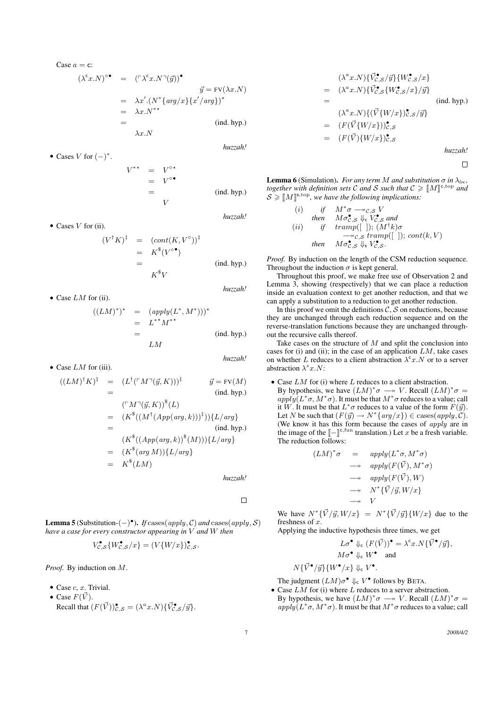Case  $a = c$ :

$$
(\lambda^{c} x.N)^{\circ} = (\ulcorner \lambda^{c} x.N \urcorner (\vec{y}))^{\bullet}
$$
  
\n
$$
\vec{y} = \text{FV}(\lambda x.N)
$$
  
\n
$$
= \lambda x'. (N^* \{ arg/x \} \{ x'/arg \})^*
$$
  
\n
$$
= \lambda x.N^{**}
$$
  
\n
$$
= \lambda x.N
$$
  
\n
$$
\lambda x.N
$$
  
\n
$$
(ind. hyp.)
$$

• Cases  $V$  for  $(-)^*$ .

 $V^{**}$  = V  $V^{\circ}$  $=$  $V^{\circ}$  $=$  (ind. hyp.) V

*huzzah!*

*huzzah!*

$$
(V^{\dagger}K)^{\ddagger} = (cont(K, V^{\circ}))^{\ddagger}
$$
  
=  $K^{\$}(V^{\circ \bullet})$   
=  $K^{\$}V$  (ind. hyp.)

• Case  $LM$  for (ii).

• Case  $LM$  for (iii).

• Cases  $V$  for (ii).

$$
((LM)^*)^* = (apply(L^*, M^*)))^*
$$
  
= L^{\*\*}M^{\*\*}  
= LM  
(ind. hyp.)

*huzzah!*

*huzzah!*

$$
((LM)^{\dagger} K)^{\ddagger} = (L^{\dagger} (\ulcorner M \urcorner (\vec{y}, K)))^{\ddagger} \qquad \vec{y} = \text{FV}(M)
$$
  
\n
$$
= (\ulcorner M \urcorner (\vec{y}, K))^{\$}(L)
$$
  
\n
$$
= (K^{\$}((M^{\dagger} (App(arg, k)))^{\ddagger}))\{L/arg\}
$$
  
\n
$$
= (K^{\$}((App(arg, k))^{\$}(M)))\{L/arg\}
$$
  
\n
$$
= (K^{\$}(arg M))\{L/arg\}
$$
  
\n
$$
= K^{\$}(LM)
$$

*huzzah!*

 $\Box$ 

**Lemma 5** (Substitution- $(-)$ <sup>o</sup>). *If* cases(apply, C) and cases(apply, S) *have a case for every constructor appearing in* V *and* W *then*

$$
V_{\mathcal{C},\mathcal{S}}^{\bullet}\{W_{\mathcal{C},\mathcal{S}}^{\bullet}/x\} = (V\{W/x\})_{\mathcal{C},\mathcal{S}}^{\bullet}.
$$

*Proof.* By induction on M.

- Case  $c, x$ . Trivial.
- Case  $F(\vec{V})$ . Recall that  $(F(\vec{V}))_{\mathcal{C},\mathcal{S}}^{\bullet} = (\lambda^a x . N) \{ \vec{V}_{\mathcal{C},\mathcal{S}}^{\bullet}/\vec{y} \}.$

$$
(\lambda^{a} x.N) \{\vec{V}_{c,s}^{\bullet} / \vec{y}\} \{W_{c,s}^{\bullet} / x\}
$$
  
\n
$$
= (\lambda^{a} x.N) \{\vec{V}_{c,s}^{\bullet} \{W_{c,s}^{\bullet} / x\} / \vec{y}\}
$$
  
\n
$$
= (\lambda^{a} x.N) \{(\vec{V} \{W/x\})_{c,s}^{\bullet} / \vec{y}\}
$$
  
\n
$$
= (F(\vec{V} \{W/x\}))_{c,s}^{\bullet}
$$
  
\n
$$
= (F(\vec{V}) \{W/x\})_{c,s}^{\bullet}
$$

*huzzah!*

 $\Box$ 

**Lemma 6** (Simulation). *For any term M and substitution*  $\sigma$  *in*  $\lambda_{loc}$ *, together with definition sets* C and S such that  $C \geq \llbracket M \rrbracket^{\text{c,top}}$  and  $S > \llbracket M \rrbracket^{\text{s,top}}$  *and*  $\mathcal{S} \geqslant [M]^{s,\text{top}}$ , we have the following implications:

(i) if 
$$
M^* \sigma \rightarrow c, s
$$
 V  
\nthen  $M \sigma_{c,s}^{\bullet} \downarrow_c V_{c,s}^{\bullet}$  and  
\n(ii) if  $tramp([~])$ ;  $(M^{\dagger} k) \sigma$   
\n $\rightarrow c, s \, tramp([~])$ ;  $cont(k, V)$   
\nthen  $M \sigma_{c,s}^{\bullet} \downarrow_s V_{c,s}^{\bullet}$ .

*Proof.* By induction on the length of the CSM reduction sequence. Throughout the induction  $\sigma$  is kept general.

Throughout this proof, we make free use of Observation 2 and Lemma 3, showing (respectively) that we can place a reduction inside an evaluation context to get another reduction, and that we can apply a substitution to a reduction to get another reduction.

In this proof we omit the definitions  $\tilde{C}$ ,  $\tilde{S}$  on reductions, because they are unchanged through each reduction sequence and on the reverse-translation functions because they are unchanged throughout the recursive calls thereof.

Take cases on the structure of  $M$  and split the conclusion into cases for (i) and (ii); in the case of an application  $LM$ , take cases on whether L reduces to a client abstraction  $\lambda^c x . N$  or to a server abstraction  $\lambda^s x.N$ :

• Case  $LM$  for (i) where  $L$  reduces to a client abstraction. By hypothesis, we have  $(LM)^*\sigma \longrightarrow V$ . Recall  $(LM)^*\sigma =$  $apply(L^*\sigma, M^*\sigma)$ . It must be that  $M^*\sigma$  reduces to a value; call it W. It must be that  $L^*\sigma$  reduces to a value of the form  $F(\vec{y})$ . Let N be such that  $(F(\vec{y}) \to N^*\{\text{arg}/x\}) \in \text{cases}(\text{apply}, \mathcal{C})$ . (We know it has this form because the cases of *apply* are in the image of the  $\llbracket - \rrbracket^{\text{c, fun}}$  translation.) Let x be a fresh variable.<br>The reduction follows The reduction follows:

$$
(LM)^*\sigma = apply(L^*\sigma, M^*\sigma)
$$
  
\n
$$
\longrightarrow apply(F(\vec{V}), M^*\sigma)
$$
  
\n
$$
\longrightarrow apply(F(\vec{V}), W)
$$
  
\n
$$
\longrightarrow N^*{\vec{V}}/{\vec{y}}, W/x
$$
  
\n
$$
\longrightarrow V
$$

We have  $N^*{\{\vec{V}/\vec{y}, W/x\}} = N^*{\{\vec{V}/\vec{y}\}}\{W/x\}$  due to the freshness of  $x$ .

Applying the inductive hypothesis three times, we get

$$
L\sigma^{\bullet} \Downarrow_{\mathsf{c}} (F(\vec{V}))^{\bullet} = \lambda^{\mathsf{c}} x.N\{\vec{V}^{\bullet}/\vec{y}\},
$$
  

$$
M\sigma^{\bullet} \Downarrow_{\mathsf{c}} W^{\bullet} \quad \text{and}
$$

$$
N\{\vec{V}^{\bullet}/\vec{y}\}\{W^{\bullet}/x\} \Downarrow_{\mathrm{c}} V^{\bullet}.
$$

The judgment  $(LM)\sigma^{\bullet} \Downarrow_c V^{\bullet}$  follows by BETA.

 $\bullet$  Case  $LM$  for (i) where  $L$  reduces to a server abstraction. By hypothesis, we have  $(LM)^*\sigma \longrightarrow V$ . Recall  $(LM)^*\sigma =$  $apply(L^*\sigma, M^*\sigma)$ . It must be that  $M^*\sigma$  reduces to a value; call

7 *2008/4/2*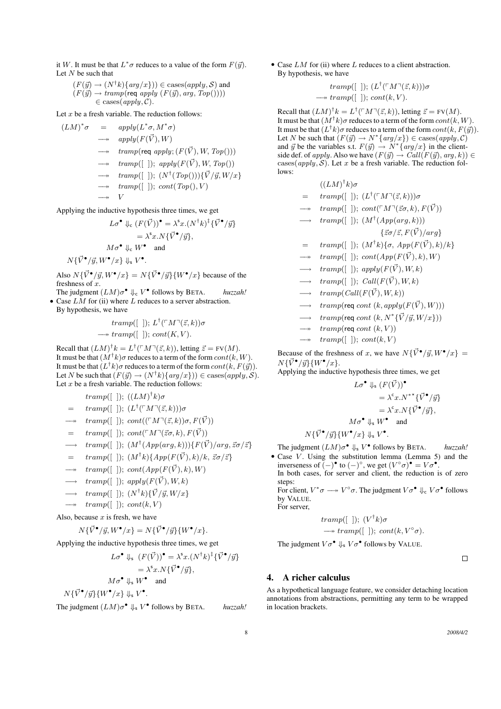it W. It must be that  $L^* \sigma$  reduces to a value of the form  $F(\vec{y})$ . Let  $N$  be such that

 $(F(\vec{y}) \rightarrow (N^{\dagger} k) \{ arg/x\}) \in \text{cases}(apply, \mathcal{S})$  and  $(F(\vec{y}) \rightarrow tramp(\text{req } apply (F(\vec{y}), arg, Top))))$  $\in \text{cases}(apply, C).$ 

Let  $x$  be a fresh variable. The reduction follows:

$$
M)^*\sigma = apply(L^*\sigma, M^*\sigma)
$$
  
\n
$$
\longrightarrow apply(F(\vec{V}), W)
$$
  
\n
$$
\longrightarrow temp(\text{req apply}; (F(\vec{V}), W, Top)))
$$
  
\n
$$
\longrightarrow temp([ ]); apply(F(\vec{V}), W, Top())
$$
  
\n
$$
\longrightarrow temp([ ]); (N^{\dagger}(Top())\{\vec{V}/\vec{y}, W/x\})
$$
  
\n
$$
\longrightarrow w
$$
  
\n
$$
v
$$

Applying the inductive hypothesis three times, we get

$$
L\sigma^{\bullet} \Downarrow_{c} (F(\vec{V}))^{\bullet} = \lambda^{s}x.(N^{\dagger}k)^{\ddagger} {\{\vec{V}^{\bullet}/\vec{y}\}}
$$

$$
= \lambda^{s}x.N{\{\vec{V}^{\bullet}/\vec{y}\}},
$$

$$
M\sigma^{\bullet} \Downarrow_{c} W^{\bullet} \text{ and}
$$

$$
N{\{\vec{V}^{\bullet}/\vec{y}, W^{\bullet}/x\}} \Downarrow_{s} V^{\bullet}.
$$

Also  $N\{\vec{V}^{\bullet}/\vec{y}, W^{\bullet}/x\} = N\{\vec{V}^{\bullet}/\vec{y}\}\{W^{\bullet}/x\}$  because of the freshness of  $r$ 

The judgment  $(LM)\sigma^{\bullet} \Downarrow_c V^{\bullet}$  follows by BETA. *huzzah!* • Case  $LM$  for (ii) where  $L$  reduces to a server abstraction.

By hypothesis, we have

 $(L)$ 

$$
tramp([ ]); L†(⊤M¬( $\vec{z}, k$ ))σ  
→
$$
tramp([ ]); cont(K, V).
$$
$$

Recall that  $(LM)^{\dagger} k = L^{\dagger}(\ulcorner M \urcorner (\vec{z}, k))$ , letting  $\vec{z} = FV(M)$ . It must be that  $(M^\dagger k)\sigma$  reduces to a term of the form  $cont(k,W)$ . It must be that  $(L^\dagger k) \sigma$  reduces to a term of the form  $cont(k,F(\vec{y}))$ . Let N be such that  $(F(\vec{y}) \to (N^{\dagger} k) \{ arg/x\})) \in \text{cases}(apply, \mathcal{S}).$ Let  $x$  be a fresh variable. The reduction follows:

 $tramp([$   $]$ );  $((LM)^{\dagger}k)\sigma$ 

- $=$   $tranp([\ ]);$   $(L^{\dagger}(\ulcorner M\urcorner(\vec{z},k)))\sigma$
- $\rightarrow$  tramp([ ]); cont(( $\ulcorner M\urcorner(\vec{z},k)\urcorner \sigma, F(\vec{V})$ )
- $=$   $tranp([ )$ ;  $cont(^{\sqcap}M^{\sqcap}(\vec{z}\sigma, k), F(\vec{V}))$
- $\longrightarrow$  tramp([ ]);  $(M^{\dagger}(App(arg,k)))\{F(\vec{V})/arg, \vec{z}\sigma/\vec{z}\}\$
- $=$   $tranp([$  |);  $(M^{\dagger}k)\$   $\{App(F(\vec{V}), k)/k, \vec{z}\sigma/\vec{z}\}$
- $\rightarrow$  tramp([ ]); cont(App(F( $\vec{V}$ ), k), W)
- $\longrightarrow$  tramp([ ]); apply( $F(\vec{V})$ , W, k)
- $\longrightarrow \; \; \text{tramp}([ \; \; ]); \; (N^{\dagger}k) \{ \vec{V} / \vec{y}, W / x \}$
- $\rightarrow \; \; \; \text{tramp}([ \; ]); \; \text{cont}(k, V)$

Also, because  $x$  is fresh, we have

$$
N\{\vec{V}^{\bullet}/\vec{y}, W^{\bullet}/x\} = N\{\vec{V}^{\bullet}/\vec{y}\}\{W^{\bullet}/x\}.
$$

Applying the inductive hypothesis three times, we get

$$
L\sigma^{\bullet} \Downarrow_{\mathsf{s}} (F(\vec{V}))^{\bullet} = \lambda^{\mathsf{s}} x.(N^{\dagger}k)^{\mathsf{\ddagger}} \{\vec{V}^{\bullet}/\vec{y}\}
$$

$$
= \lambda^{\mathsf{s}} x.N \{\vec{V}^{\bullet}/\vec{y}\},
$$

$$
M\sigma^{\bullet} \Downarrow_{\mathsf{s}} W^{\bullet} \quad \text{and}
$$

$$
N\{\vec{V}^{\bullet}/\vec{y}\}\{W^{\bullet}/x\} \Downarrow_{\mathsf{s}} V^{\bullet}.
$$

The judgment  $(LM)\sigma^{\bullet} \Downarrow_{s} V^{\bullet}$  follows by BETA. *huzzah!* 

• Case  $LM$  for (ii) where  $L$  reduces to a client abstraction. By hypothesis, we have

$$
tramp([~]);~(L^{\dagger}(\ulcorner M\urcorner(\vec{z},k)))\sigma
$$

 $\longrightarrow tramp([ \ ]); cont(k, V).$ 

Recall that  $(LM)^{\dagger} k = L^{\dagger}(\ulcorner M\urcorner(\vec{z},k))$ , letting  $\vec{z} = FV(M)$ . It must be that  $(M^\dagger k) \sigma$  reduces to a term of the form  $cont(k, W)$ . It must be that  $(L^{\dagger}k)\sigma$  reduces to a term of the form  $cont(k, F(\vec{y}))$ . Let N be such that  $(F(\vec{y}) \to N^*\{arg/x\}) \in \text{cases}(apply, C)$ and  $\vec{y}$  be the variables s.t.  $F(\vec{y}) \rightarrow N^* \{ arg/x \}$  in the clientside def. of apply. Also we have  $(F(\vec{y}) \rightarrow Call(F(\vec{y}), arg, k)) \in$ cases(apply,  $S$ ). Let x be a fresh variable. The reduction follows:

 $((LM)^{\dagger}k)\sigma$ 

- $=$   $tranp([\ ]);$   $(L^{\dagger}(\ulcorner M\urcorner(\vec{z},k)))\sigma$
- $tramp([~]); cont(\ulcorner M\urcorner(\vec{z}\sigma, k), F(\vec{V}))$

$$
\longrightarrow\; \; tramp([ \; ]); \; (M^{\dagger}(App(arg, k)))
$$

$$
\{\vec{z}\sigma/\vec{z}, F(\vec{V})/arg\}
$$

- $=$   $tranp([\ ]); (M^{\dagger}k)\{\sigma, App(F(\vec{V}),k)/k\}$
- $tramp([~])$ ;  $cont(App(F(\vec{V}), k), W)$
- $tramp([~])$ ; apply $(F(\vec{V}), W, k)$
- $tramp([~])$ ; Call $(F(\vec{V}), W, k)$
- $tramp(Call(F(\vec{V}), W, k))$
- $tramp(\text{req cont } (k, apply(F(\vec{V}), W)))$
- $\longrightarrow$  tramp(req cont  $(k, N^*{\{\vec{V}}/{\vec{y}}, W/x\})$ )
- $tramp(\text{req} cont (k, V))$
- $tramp([$  ]);  $cont(k, V)$

Because of the freshness of x, we have  $N\{\vec{V}^{\bullet}/\vec{y}, W^{\bullet}/x\} =$  $N\{\vec{V}^{\bullet}/\vec{y}\}\{W^{\bullet}/x\}.$ 

Applying the inductive hypothesis three times, we get

$$
L\sigma^{\bullet} \Downarrow_{\mathsf{s}} (F(\vec{V}))^{\bullet}
$$
  
=  $\lambda^{\mathsf{c}} x . N^{**} {\{\vec{V}^{\bullet}/\vec{y}\}}$   
=  $\lambda^{\mathsf{c}} x . N {\{\vec{V}^{\bullet}/\vec{y}\}}$ ,  
 $M\sigma^{\bullet} \Downarrow_{\mathsf{s}} W^{\bullet}$  and  
 $W^{\bullet}(\omega) \Vdash V^{\bullet}$ 

$$
N\{\vec{V}^{\bullet}/\vec{y}\}\{W^{\bullet}/x\} \Downarrow_{\mathsf{s}} V^{\bullet}.
$$

The judgment  $(LM)\sigma^{\bullet} \Downarrow_{s} V^{\bullet}$  follows by BETA. *huzzah!* • Case  $V$ . Using the substitution lemma (Lemma 5) and the inverseness of  $\left(-\right)^{\bullet}$  to  $\left(-\right)^{\circ}$ , we get  $\left(V^{\circ}\sigma\right)^{\bullet} = V\sigma^{\bullet}$ .

In both cases, for server and client, the reduction is of zero steps:

For client,  $V^*\sigma \longrightarrow V^{\circ}\sigma$ . The judgment  $V\sigma^{\bullet} \Downarrow_{\mathsf{c}} V\sigma^{\bullet}$  follows by VALUE.

For server,

$$
tramp([ ]); (V†k)σ
$$
  
\n→  $tramp([ ]); cont(k, V°σ).$ 

The judgment  $V\sigma^{\bullet} \Downarrow_{s} V\sigma^{\bullet}$  follows by VALUE.

# $\Box$

# 4. A richer calculus

As a hypothetical language feature, we consider detaching location annotations from abstractions, permitting any term to be wrapped in location brackets.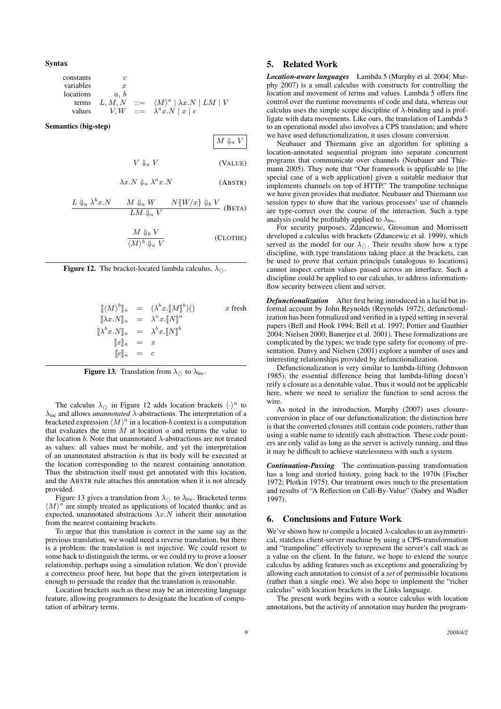Syntax

| constants | c       |     |                                                |
|-----------|---------|-----|------------------------------------------------|
| variables | x       |     |                                                |
| locations | a, b    |     |                                                |
| terms     | L, M, N | ::= | $\langle M \rangle^a   \lambda x . N   LM   V$ |
| values    | V, W    | ::= | $\lambda^a x . N   x   c$                      |

Semantics (big-step)

$$
M \Downarrow_a V
$$

$$
V \Downarrow_a V \tag{VALUE}
$$

$$
\lambda x.N \Downarrow_a \lambda^a x.N
$$
 (ABSTR)

$$
\frac{L \Downarrow_a \lambda^b x.N \qquad M \Downarrow_a W \qquad N\{W/x\} \Downarrow_b V}{LM \Downarrow_a V} \text{ (BETA)}
$$

$$
\frac{M \Downarrow_b V}{\langle M \rangle^b \Downarrow_a V}
$$
 (CLOTHE)



$$
\begin{array}{rcl}\n\llbracket \langle M \rangle^b \rrbracket_a & = & (\lambda^b x \llbracket M \rrbracket^b)() & x \text{ fresh} \\
\llbracket \lambda x. N \rrbracket_a & = & \lambda^a x \llbracket N \rrbracket^a \\
\llbracket \lambda^b x. N \rrbracket_a & = & \lambda^b x \llbracket N \rrbracket^b \\
\llbracket x \rrbracket_a & = & x \\
\llbracket c \rrbracket_a & = & c\n\end{array}
$$

**Figure 13.** Translation from  $\lambda_{\langle}$  to  $\lambda_{\text{loc}}$ .

The calculus  $\lambda_{\langle\rangle}$  in Figure 12 adds location brackets  $\langle \cdot \rangle^a$  to  $\lambda_{\text{loc}}$  and allows *unannotated*  $\lambda$ -abstractions. The interpretation of a bracketed expression  $\langle M \rangle^a$  in a location-b context is a computation that evaluates the term  $M$  at location  $\alpha$  and returns the value to the location b. Note that unannotated  $\lambda$ -abstractions are not treated as values: all values must be mobile, and yet the interpretation of an unannotated abstraction is that its body will be executed at the location corresponding to the nearest containing annotation. Thus the abstraction itself must get annotated with this location, and the ABSTR rule attaches this annotation when it is not already provided.

Figure 13 gives a translation from  $\lambda_{\langle\rangle}$  to  $\lambda_{\text{loc}}$ . Bracketed terms  $\langle M \rangle^a$  are simply treated as applications of located thunks; and as expected, unannotated abstractions  $\lambda x.N$  inherit their annotation from the nearest containing brackets.

To argue that this translation is correct in the same say as the previous translation, we would need a reverse translation, but there is a problem: the translation is not injective. We could resort to some hack to distinguish the terms, or we could try to prove a looser relationship, perhaps using a simulation relation. We don't provide a correctness proof here, but hope that the given interpretation is enough to persuade the reader that the translation is reasonable.

Location brackets such as these may be an interesting language feature, allowing programmers to designate the location of computation of arbitrary terms.

#### 5. Related Work

*Location-aware languages* Lambda 5 (Murphy et al. 2004; Murphy 2007) is a small calculus with constructs for controlling the location and movement of terms and values. Lambda 5 offers fine control over the runtime movements of code and data, whereas our calculus uses the simple scope discipline of  $\lambda$ -binding and is profligate with data movements. Like ours, the translation of Lambda 5 to an operational model also involves a CPS translation; and where we have used defunctionalization, it uses closure conversion.

Neubauer and Thiemann give an algorithm for splitting a location-annotated sequential program into separate concurrent programs that communicate over channels (Neubauer and Thiemann 2005). They note that "Our framework is applicable to [the special case of a web application] given a suitable mediator that implements channels on top of HTTP." The trampoline technique we have given provides that mediator. Neubauer and Thiemann use session types to show that the various processes' use of channels are type-correct over the course of the interaction. Such a type analysis could be profitably applied to  $\lambda_{loc}$ .

For security purposes, Zdancewic, Grossman and Morrissett developed a calculus with brackets (Zdancewic et al. 1999), which served as the model for our  $\lambda_{\langle\rangle}$ . Their results show how a type discipline, with type translations taking place at the brackets, can be used to prove that certain principals (analogous to locations) cannot inspect certain values passed across an interface. Such a discipline could be applied to our calculus, to address informationflow security between client and server.

*Defunctionalization* After first being introduced in a lucid but informal account by John Reynolds (Reynolds 1972), defunctionalization has been formalized and verified in a typed setting in several papers (Bell and Hook 1994; Bell et al. 1997; Pottier and Gauthier 2004; Nielsen 2000; Banerjee et al. 2001). These formalizations are complicated by the types; we trade type safety for economy of presentation. Danvy and Nielsen (2001) explore a number of uses and interesting relationships provided by defunctionalization.

Defunctionalization is very similar to lambda-lifting (Johnsson 1985), the essential difference being that lambda-lifting doesn't reify a closure as a denotable value. Thus it would not be applicable here, where we need to serialize the function to send across the wire.

As noted in the introduction, Murphy (2007) uses closureconversion in place of our defunctionalization; the distinction here is that the converted closures still contain code pointers, rather than using a stable name to identify each abstraction. These code pointers are only valid as long as the server is actively running, and thus it may be difficult to achieve statelessness with such a system.

*Continuation-Passing* The continuation-passing transformation has a long and storied history, going back to the 1970s (Fischer 1972; Plotkin 1975). Our treatment owes much to the presentation and results of "A Reflection on Call-By-Value" (Sabry and Wadler 1997).

# 6. Conclusions and Future Work

We've shown how to compile a located  $\lambda$ -calculus to an asymmetrical, stateless client-server machine by using a CPS-transformation and "trampoline" effectively to represent the server's call stack as a value on the client. In the future, we hope to extend the source calculus by adding features such as exceptions and generalizing by allowing each annotation to consist of a *set* of permissible locations (rather than a single one). We also hope to implement the "richer calculus" with location brackets in the Links language.

The present work begins with a source calculus with location annotations, but the activity of annotation may burden the program